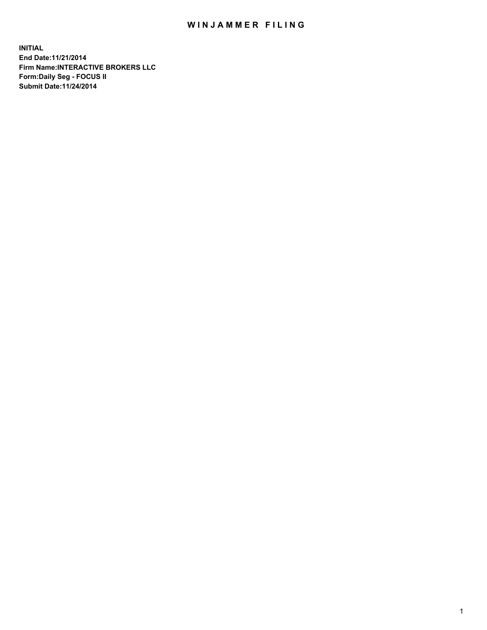## WIN JAMMER FILING

**INITIAL End Date:11/21/2014 Firm Name:INTERACTIVE BROKERS LLC Form:Daily Seg - FOCUS II Submit Date:11/24/2014**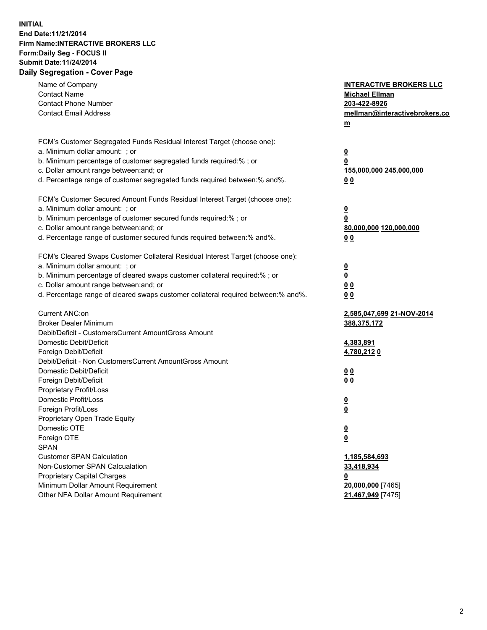## **INITIAL End Date:11/21/2014 Firm Name:INTERACTIVE BROKERS LLC Form:Daily Seg - FOCUS II Submit Date:11/24/2014 Daily Segregation - Cover Page**

| Name of Company<br><b>Contact Name</b><br><b>Contact Phone Number</b><br><b>Contact Email Address</b>                                                                                                                                                                                                                          | <b>INTERACTIVE BROKERS LLC</b><br><b>Michael Ellman</b><br>203-422-8926<br>mellman@interactivebrokers.co<br>m |
|--------------------------------------------------------------------------------------------------------------------------------------------------------------------------------------------------------------------------------------------------------------------------------------------------------------------------------|---------------------------------------------------------------------------------------------------------------|
| FCM's Customer Segregated Funds Residual Interest Target (choose one):<br>a. Minimum dollar amount: ; or<br>b. Minimum percentage of customer segregated funds required:% ; or<br>c. Dollar amount range between: and; or<br>d. Percentage range of customer segregated funds required between:% and%.                         | $\overline{\mathbf{0}}$<br>0<br>155,000,000 245,000,000<br>00                                                 |
| FCM's Customer Secured Amount Funds Residual Interest Target (choose one):<br>a. Minimum dollar amount: ; or<br>b. Minimum percentage of customer secured funds required:% ; or<br>c. Dollar amount range between: and; or<br>d. Percentage range of customer secured funds required between:% and%.                           | $\overline{\mathbf{0}}$<br>0<br>80,000,000 120,000,000<br>0 <sub>0</sub>                                      |
| FCM's Cleared Swaps Customer Collateral Residual Interest Target (choose one):<br>a. Minimum dollar amount: ; or<br>b. Minimum percentage of cleared swaps customer collateral required:% ; or<br>c. Dollar amount range between: and; or<br>d. Percentage range of cleared swaps customer collateral required between:% and%. | $\overline{\mathbf{0}}$<br><u>0</u><br>0 <sub>0</sub><br>0 <sub>0</sub>                                       |
| Current ANC:on<br><b>Broker Dealer Minimum</b><br>Debit/Deficit - CustomersCurrent AmountGross Amount<br>Domestic Debit/Deficit<br>Foreign Debit/Deficit                                                                                                                                                                       | 2,585,047,699 21-NOV-2014<br>388,375,172<br>4,383,891<br>4,780,2120                                           |
| Debit/Deficit - Non CustomersCurrent AmountGross Amount<br>Domestic Debit/Deficit<br>Foreign Debit/Deficit<br>Proprietary Profit/Loss<br>Domestic Profit/Loss                                                                                                                                                                  | 0 <sub>0</sub><br>0 <sub>0</sub><br>$\overline{\mathbf{0}}$                                                   |
| Foreign Profit/Loss<br>Proprietary Open Trade Equity<br>Domestic OTE<br>Foreign OTE<br><b>SPAN</b><br><b>Customer SPAN Calculation</b>                                                                                                                                                                                         | $\overline{\mathbf{0}}$<br>$\overline{\mathbf{0}}$<br><u>0</u><br>1,185,584,693                               |
| Non-Customer SPAN Calcualation<br><b>Proprietary Capital Charges</b><br>Minimum Dollar Amount Requirement<br>Other NFA Dollar Amount Requirement                                                                                                                                                                               | 33,418,934<br><u>0</u><br>20,000,000 [7465]<br>21,467,949 [7475]                                              |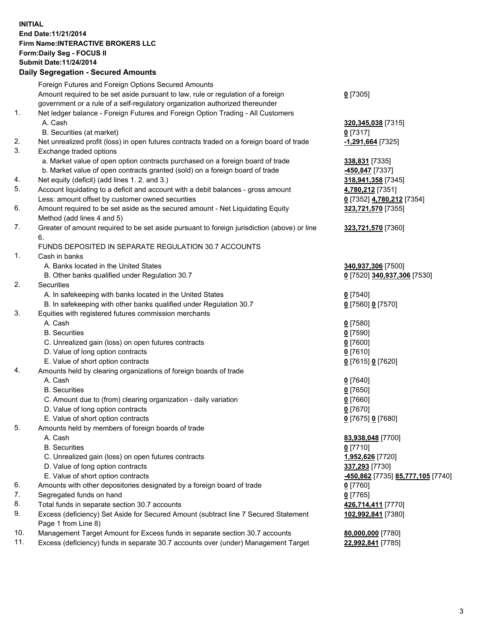## **INITIAL End Date:11/21/2014 Firm Name:INTERACTIVE BROKERS LLC Form:Daily Seg - FOCUS II Submit Date:11/24/2014 Daily Segregation - Secured Amounts**

| Daily Ocglegation - Occuled Amounts                                                         |                                                       |
|---------------------------------------------------------------------------------------------|-------------------------------------------------------|
| Foreign Futures and Foreign Options Secured Amounts                                         |                                                       |
| Amount required to be set aside pursuant to law, rule or regulation of a foreign            | $0$ [7305]                                            |
| government or a rule of a self-regulatory organization authorized thereunder                |                                                       |
| Net ledger balance - Foreign Futures and Foreign Option Trading - All Customers             |                                                       |
| A. Cash                                                                                     | 320, 345, 038 [7315]                                  |
| B. Securities (at market)                                                                   | $0$ [7317]                                            |
| Net unrealized profit (loss) in open futures contracts traded on a foreign board of trade   | -1,291,664 [7325]                                     |
| Exchange traded options                                                                     |                                                       |
| a. Market value of open option contracts purchased on a foreign board of trade              | 338,831 [7335]                                        |
| b. Market value of open contracts granted (sold) on a foreign board of trade                | <u>-450,847</u> [7337]                                |
| Net equity (deficit) (add lines 1.2. and 3.)                                                | 318,941,358 [7345]                                    |
| Account liquidating to a deficit and account with a debit balances - gross amount           | 4,780,212 [7351]                                      |
| Less: amount offset by customer owned securities                                            | 0 [7352] 4,780,212 [7354]                             |
| Amount required to be set aside as the secured amount - Net Liquidating Equity              | 323,721,570 [7355]                                    |
| Method (add lines 4 and 5)                                                                  |                                                       |
| Greater of amount required to be set aside pursuant to foreign jurisdiction (above) or line | 323,721,570 [7360]                                    |
| 6.                                                                                          |                                                       |
| FUNDS DEPOSITED IN SEPARATE REGULATION 30.7 ACCOUNTS                                        |                                                       |
| Cash in banks                                                                               |                                                       |
| A. Banks located in the United States                                                       | 340,937,306 [7500]                                    |
| B. Other banks qualified under Regulation 30.7                                              | 0 [7520] 340,937,306 [7530]                           |
| Securities                                                                                  |                                                       |
| A. In safekeeping with banks located in the United States                                   | $0$ [7540]                                            |
| B. In safekeeping with other banks qualified under Regulation 30.7                          | $0$ [7560] 0 [7570]                                   |
| Equities with registered futures commission merchants                                       |                                                       |
| A. Cash                                                                                     | $0$ [7580]                                            |
| <b>B.</b> Securities                                                                        | $0$ [7590]                                            |
| C. Unrealized gain (loss) on open futures contracts                                         | $0$ [7600]                                            |
| D. Value of long option contracts                                                           | $0$ [7610]                                            |
| E. Value of short option contracts                                                          | 0 [7615] 0 [7620]                                     |
| Amounts held by clearing organizations of foreign boards of trade                           |                                                       |
| A. Cash                                                                                     | $0$ [7640]                                            |
| <b>B.</b> Securities                                                                        | $0$ [7650]                                            |
| C. Amount due to (from) clearing organization - daily variation                             | $0$ [7660]                                            |
| D. Value of long option contracts                                                           | $0$ [7670]                                            |
| E. Value of short option contracts                                                          | 0 [7675] 0 [7680]                                     |
| Amounts held by members of foreign boards of trade                                          |                                                       |
| A. Cash                                                                                     | 83,938,048 [7700]                                     |
| <b>B.</b> Securities                                                                        | $0$ [7710]                                            |
| C. Unrealized gain (loss) on open futures contracts                                         | 1,952,626 [7720]                                      |
| D. Value of long option contracts                                                           | 337,293 [7730]                                        |
| E. Value of short option contracts                                                          | <mark>-450,862</mark> [7735] <u>85,777,105</u> [7740] |
| Amounts with other depositories designated by a foreign board of trade                      | 0 [7760]                                              |
| Segregated funds on hand                                                                    | $0$ [7765]                                            |
| Total funds in separate section 30.7 accounts                                               | 426,714,411 [7770]                                    |
| Excess (deficiency) Set Aside for Secured Amount (subtract line 7 Secured Statement         | 102,992,841 [7380]                                    |
| Page 1 from Line 8)                                                                         |                                                       |
| Management Target Amount for Excess funds in separate section 30.7 accounts                 | 80,000,000 [7780]                                     |
| Excess (deficiency) funds in separate 30.7 accounts over (under) Management Target          | 22,992,841 [7785]                                     |
|                                                                                             |                                                       |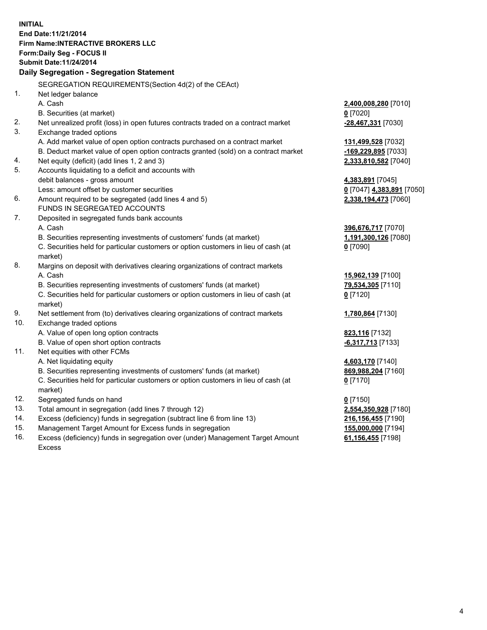**INITIAL End Date:11/21/2014 Firm Name:INTERACTIVE BROKERS LLC Form:Daily Seg - FOCUS II Submit Date:11/24/2014 Daily Segregation - Segregation Statement** SEGREGATION REQUIREMENTS(Section 4d(2) of the CEAct) 1. Net ledger balance A. Cash **2,400,008,280** [7010] B. Securities (at market) **0** [7020] 2. Net unrealized profit (loss) in open futures contracts traded on a contract market **-28,467,331** [7030] 3. Exchange traded options A. Add market value of open option contracts purchased on a contract market **131,499,528** [7032] B. Deduct market value of open option contracts granted (sold) on a contract market **-169,229,895** [7033] 4. Net equity (deficit) (add lines 1, 2 and 3) **2,333,810,582** [7040] 5. Accounts liquidating to a deficit and accounts with debit balances - gross amount **4,383,891** [7045] Less: amount offset by customer securities **0** [7047] **4,383,891** [7050] 6. Amount required to be segregated (add lines 4 and 5) **2,338,194,473** [7060] FUNDS IN SEGREGATED ACCOUNTS 7. Deposited in segregated funds bank accounts A. Cash **396,676,717** [7070] B. Securities representing investments of customers' funds (at market) **1,191,300,126** [7080] C. Securities held for particular customers or option customers in lieu of cash (at market) **0** [7090] 8. Margins on deposit with derivatives clearing organizations of contract markets A. Cash **15,962,139** [7100] B. Securities representing investments of customers' funds (at market) **79,534,305** [7110] C. Securities held for particular customers or option customers in lieu of cash (at market) **0** [7120] 9. Net settlement from (to) derivatives clearing organizations of contract markets **1,780,864** [7130] 10. Exchange traded options A. Value of open long option contracts **823,116** [7132] B. Value of open short option contracts **-6,317,713** [7133] 11. Net equities with other FCMs A. Net liquidating equity **4,603,170** [7140] B. Securities representing investments of customers' funds (at market) **869,988,204** [7160] C. Securities held for particular customers or option customers in lieu of cash (at market) **0** [7170] 12. Segregated funds on hand **0** [7150] 13. Total amount in segregation (add lines 7 through 12) **2,554,350,928** [7180] 14. Excess (deficiency) funds in segregation (subtract line 6 from line 13) **216,156,455** [7190] 15. Management Target Amount for Excess funds in segregation **155,000,000** [7194]

16. Excess (deficiency) funds in segregation over (under) Management Target Amount Excess

**61,156,455** [7198]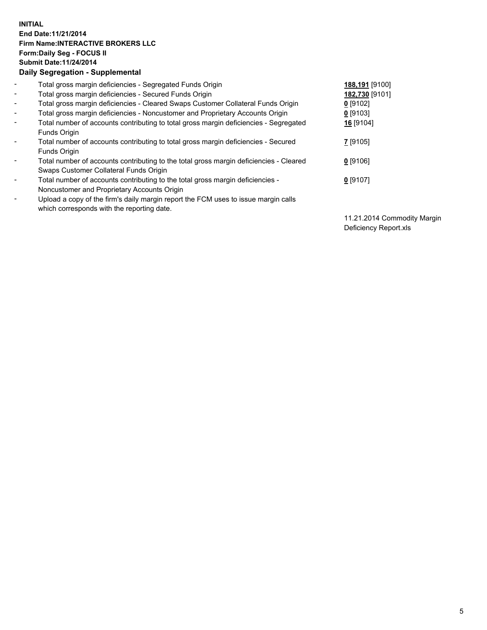## **INITIAL End Date:11/21/2014 Firm Name:INTERACTIVE BROKERS LLC Form:Daily Seg - FOCUS II Submit Date:11/24/2014 Daily Segregation - Supplemental**

| $\blacksquare$ | Total gross margin deficiencies - Segregated Funds Origin                              | 188,191 [9100] |
|----------------|----------------------------------------------------------------------------------------|----------------|
| $\blacksquare$ | Total gross margin deficiencies - Secured Funds Origin                                 | 182,730 [9101] |
| $\blacksquare$ | Total gross margin deficiencies - Cleared Swaps Customer Collateral Funds Origin       | $0$ [9102]     |
| $\blacksquare$ | Total gross margin deficiencies - Noncustomer and Proprietary Accounts Origin          | $0$ [9103]     |
| $\blacksquare$ | Total number of accounts contributing to total gross margin deficiencies - Segregated  | 16 [9104]      |
|                | Funds Origin                                                                           |                |
| $\sim$         | Total number of accounts contributing to total gross margin deficiencies - Secured     | 7 [9105]       |
|                | <b>Funds Origin</b>                                                                    |                |
| $\blacksquare$ | Total number of accounts contributing to the total gross margin deficiencies - Cleared | $0$ [9106]     |
|                | Swaps Customer Collateral Funds Origin                                                 |                |
| $\blacksquare$ | Total number of accounts contributing to the total gross margin deficiencies -         | $0$ [9107]     |
|                | Noncustomer and Proprietary Accounts Origin                                            |                |
| $\blacksquare$ | Upload a copy of the firm's daily margin report the FCM uses to issue margin calls     |                |
|                | which corresponds with the reporting date.                                             |                |

11.21.2014 Commodity Margin Deficiency Report.xls